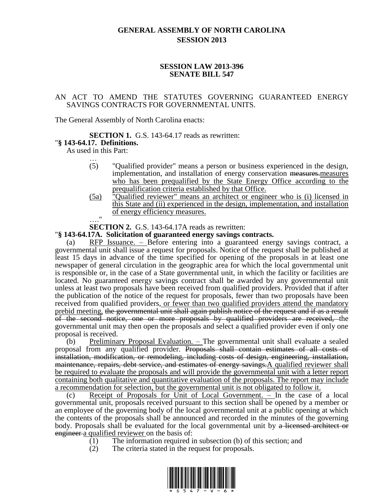# **GENERAL ASSEMBLY OF NORTH CAROLINA SESSION 2013**

# **SESSION LAW 2013-396 SENATE BILL 547**

# AN ACT TO AMEND THE STATUTES GOVERNING GUARANTEED ENERGY SAVINGS CONTRACTS FOR GOVERNMENTAL UNITS.

The General Assembly of North Carolina enacts:

### **SECTION 1.** G.S. 143-64.17 reads as rewritten:

# "**§ 143-64.17. Definitions.**

As used in this Part:

- … (5) "Qualified provider" means a person or business experienced in the design, implementation, and installation of energy conservation measures. measures who has been prequalified by the State Energy Office according to the prequalification criteria established by that Office.
- (5a) "Qualified reviewer" means an architect or engineer who is (i) licensed in this State and (ii) experienced in the design, implementation, and installation of energy efficiency measures.

…."

**SECTION 2.** G.S. 143-64.17A reads as rewritten:

## "**§ 143-64.17A. Solicitation of guaranteed energy savings contracts.**

(a) RFP Issuance. – Before entering into a guaranteed energy savings contract, a governmental unit shall issue a request for proposals. Notice of the request shall be published at least 15 days in advance of the time specified for opening of the proposals in at least one newspaper of general circulation in the geographic area for which the local governmental unit is responsible or, in the case of a State governmental unit, in which the facility or facilities are located. No guaranteed energy savings contract shall be awarded by any governmental unit unless at least two proposals have been received from qualified providers. Provided that if after the publication of the notice of the request for proposals, fewer than two proposals have been received from qualified providers, or fewer than two qualified providers attend the mandatory prebid meeting, the governmental unit shall again publish notice of the request and if as a result of the second notice, one or more proposals by qualified providers are received, the governmental unit may then open the proposals and select a qualified provider even if only one proposal is received.

(b) Preliminary Proposal Evaluation. – The governmental unit shall evaluate a sealed proposal from any qualified provider. Proposals shall contain estimates of all costs of installation, modification, or remodeling, including costs of design, engineering, installation, maintenance, repairs, debt service, and estimates of energy savings.A qualified reviewer shall be required to evaluate the proposals and will provide the governmental unit with a letter report containing both qualitative and quantitative evaluation of the proposals. The report may include a recommendation for selection, but the governmental unit is not obligated to follow it.

(c) Receipt of Proposals for Unit of Local Government. – In the case of a local governmental unit, proposals received pursuant to this section shall be opened by a member or an employee of the governing body of the local governmental unit at a public opening at which the contents of the proposals shall be announced and recorded in the minutes of the governing body. Proposals shall be evaluated for the local governmental unit by a licensed architect or engineer a qualified reviewer on the basis of:

- (1) The information required in subsection (b) of this section; and
- (2) The criteria stated in the request for proposals.

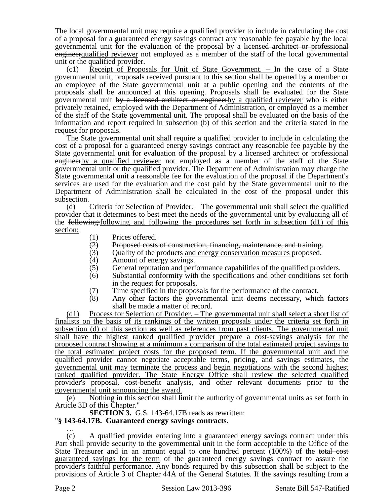The local governmental unit may require a qualified provider to include in calculating the cost of a proposal for a guaranteed energy savings contract any reasonable fee payable by the local governmental unit for the evaluation of the proposal by a licensed architect or professional engineerqualified reviewer not employed as a member of the staff of the local governmental unit or the qualified provider.

(c1) Receipt of Proposals for Unit of State Government. – In the case of a State governmental unit, proposals received pursuant to this section shall be opened by a member or an employee of the State governmental unit at a public opening and the contents of the proposals shall be announced at this opening. Proposals shall be evaluated for the State governmental unit by a licensed architect or engineerby a qualified reviewer who is either privately retained, employed with the Department of Administration, or employed as a member of the staff of the State governmental unit. The proposal shall be evaluated on the basis of the information and report required in subsection (b) of this section and the criteria stated in the request for proposals.

The State governmental unit shall require a qualified provider to include in calculating the cost of a proposal for a guaranteed energy savings contract any reasonable fee payable by the State governmental unit for evaluation of the proposal by a licensed architect or professional engineerby a qualified reviewer not employed as a member of the staff of the State governmental unit or the qualified provider. The Department of Administration may charge the State governmental unit a reasonable fee for the evaluation of the proposal if the Department's services are used for the evaluation and the cost paid by the State governmental unit to the Department of Administration shall be calculated in the cost of the proposal under this subsection.

(d) Criteria for Selection of Provider. – The governmental unit shall select the qualified provider that it determines to best meet the needs of the governmental unit by evaluating all of the following:following and following the procedures set forth in subsection (d1) of this section:

- 
- $\begin{array}{ll}\n\text{(1)} & \text{Prices offered.} \\
\text{(2)} & \text{Proposed costs}\n\end{array}$  $\overline{(2)}$  Proposed costs of construction, financing, maintenance, and training.<br>  $\overline{(3)}$  Ouality of the products and energy conservation measures proposed.
- (3) Quality of the products <u>and energy conservation measures</u> proposed.<br>(4) Amount of energy savings.
- (4) Amount of energy savings.<br>(5) General reputation and perf
- General reputation and performance capabilities of the qualified providers.
- (6) Substantial conformity with the specifications and other conditions set forth in the request for proposals.
- (7) Time specified in the proposals for the performance of the contract.<br>(8) Any other factors the governmental unit deems necessary, which
- Any other factors the governmental unit deems necessary, which factors shall be made a matter of record.

(d1) Process for Selection of Provider. – The governmental unit shall select a short list of finalists on the basis of its rankings of the written proposals under the criteria set forth in subsection (d) of this section as well as references from past clients. The governmental unit shall have the highest ranked qualified provider prepare a cost-savings analysis for the proposed contract showing at a minimum a comparison of the total estimated project savings to the total estimated project costs for the proposed term. If the governmental unit and the qualified provider cannot negotiate acceptable terms, pricing, and savings estimates, the governmental unit may terminate the process and begin negotiations with the second highest ranked qualified provider. The State Energy Office shall review the selected qualified provider's proposal, cost-benefit analysis, and other relevant documents prior to the governmental unit announcing the award.

(e) Nothing in this section shall limit the authority of governmental units as set forth in Article 3D of this Chapter."

**SECTION 3.** G.S. 143-64.17B reads as rewritten:

## "**§ 143-64.17B. Guaranteed energy savings contracts.**

… (c) A qualified provider entering into a guaranteed energy savings contract under this Part shall provide security to the governmental unit in the form acceptable to the Office of the State Treasurer and in an amount equal to one hundred percent (100%) of the total cost guaranteed savings for the term of the guaranteed energy savings contract to assure the provider's faithful performance. Any bonds required by this subsection shall be subject to the provisions of Article 3 of Chapter 44A of the General Statutes. If the savings resulting from a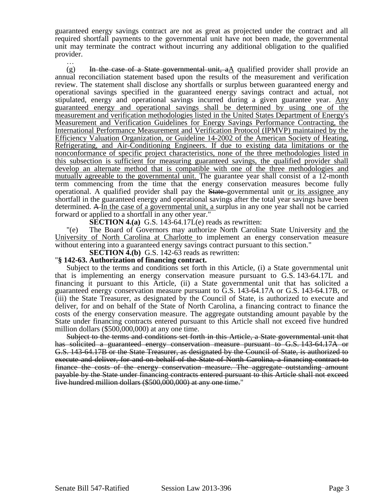guaranteed energy savings contract are not as great as projected under the contract and all required shortfall payments to the governmental unit have not been made, the governmental unit may terminate the contract without incurring any additional obligation to the qualified provider.

…  $(g)$  In the case of a State governmental unit, aA qualified provider shall provide an annual reconciliation statement based upon the results of the measurement and verification review. The statement shall disclose any shortfalls or surplus between guaranteed energy and operational savings specified in the guaranteed energy savings contract and actual, not stipulated, energy and operational savings incurred during a given guarantee year. Any guaranteed energy and operational savings shall be determined by using one of the measurement and verification methodologies listed in the United States Department of Energy's Measurement and Verification Guidelines for Energy Savings Performance Contracting, the International Performance Measurement and Verification Protocol (IPMVP) maintained by the Efficiency Valuation Organization, or Guideline 14-2002 of the American Society of Heating, Refrigerating, and Air-Conditioning Engineers. If due to existing data limitations or the nonconformance of specific project characteristics, none of the three methodologies listed in this subsection is sufficient for measuring guaranteed savings, the qualified provider shall develop an alternate method that is compatible with one of the three methodologies and mutually agreeable to the governmental unit. The guarantee year shall consist of a 12-month term commencing from the time that the energy conservation measures become fully operational. A qualified provider shall pay the State governmental unit or its assignee any shortfall in the guaranteed energy and operational savings after the total year savings have been determined. A In the case of a governmental unit, a surplus in any one year shall not be carried forward or applied to a shortfall in any other year."

**SECTION 4.(a)** G.S. 143-64.17L(e) reads as rewritten:

"(e) The Board of Governors may authorize North Carolina State University and the University of North Carolina at Charlotte to implement an energy conservation measure without entering into a guaranteed energy savings contract pursuant to this section."

**SECTION 4.(b)** G.S. 142-63 reads as rewritten:

#### "**§ 142-63. Authorization of financing contract.**

Subject to the terms and conditions set forth in this Article, (i) a State governmental unit that is implementing an energy conservation measure pursuant to G.S. 143-64.17L and financing it pursuant to this Article, (ii) a State governmental unit that has solicited a guaranteed energy conservation measure pursuant to G.S. 143-64.17A or G.S. 143-64.17B, or (iii) the State Treasurer, as designated by the Council of State, is authorized to execute and deliver, for and on behalf of the State of North Carolina, a financing contract to finance the costs of the energy conservation measure. The aggregate outstanding amount payable by the State under financing contracts entered pursuant to this Article shall not exceed five hundred million dollars (\$500,000,000) at any one time.

Subject to the terms and conditions set forth in this Article, a State governmental unit that has solicited a guaranteed energy conservation measure pursuant to G.S. 143-64.17A or G.S. 143-64.17B or the State Treasurer, as designated by the Council of State, is authorized to execute and deliver, for and on behalf of the State of North Carolina, a financing contract to finance the costs of the energy conservation measure. The aggregate outstanding amount payable by the State under financing contracts entered pursuant to this Article shall not exceed five hundred million dollars (\$500,000,000) at any one time."